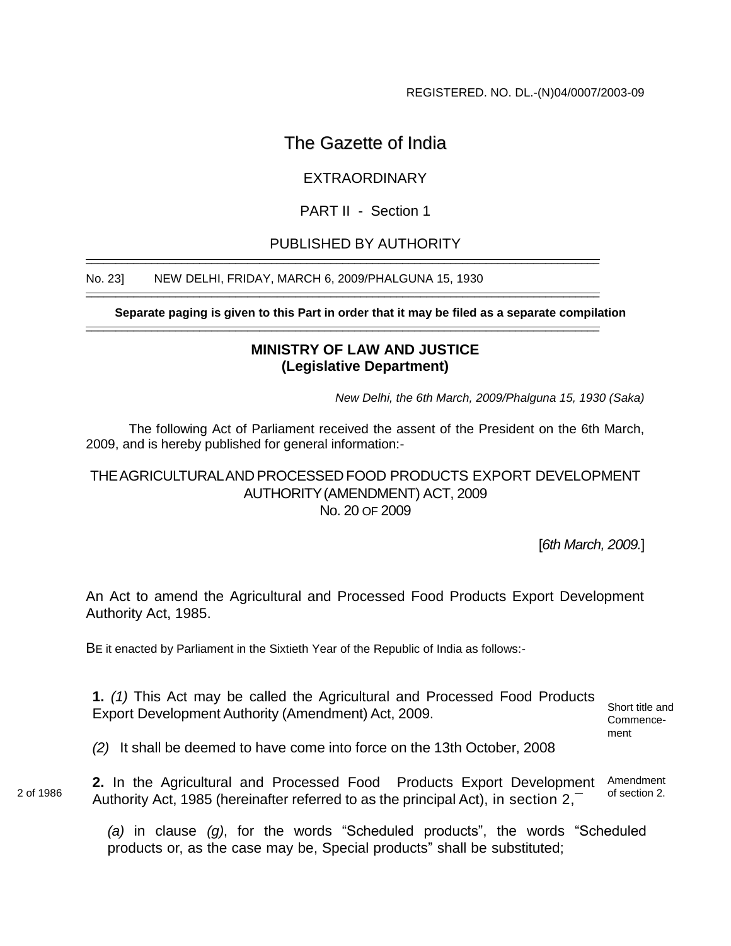REGISTERED. NO. DL.-(N)04/0007/2003-09

# The Gazette of India

## EXTRAORDINARY

### PART II - Section 1

## PUBLISHED BY AUTHORITY

\_\_\_\_\_\_\_\_\_\_\_\_\_\_\_\_\_\_\_\_\_\_\_\_\_\_\_\_\_\_\_\_\_\_\_\_\_\_\_\_\_\_\_\_\_\_\_\_\_\_\_\_\_\_\_\_\_\_\_\_\_\_\_\_\_\_\_\_\_\_\_\_\_\_\_\_\_\_\_\_\_\_\_\_\_\_

\_\_\_\_\_\_\_\_\_\_\_\_\_\_\_\_\_\_\_\_\_\_\_\_\_\_\_\_\_\_\_\_\_\_\_\_\_\_\_\_\_\_\_\_\_\_\_\_\_\_\_\_\_\_\_\_\_\_\_\_\_\_\_\_\_\_\_\_\_\_\_\_\_\_\_\_\_\_\_\_\_\_\_\_\_\_

#### No. 23] NEW DELHI, FRIDAY, MARCH 6, 2009/PHALGUNA 15, 1930

**Separate paging is given to this Part in order that it may be filed as a separate compilation** \_\_\_\_\_\_\_\_\_\_\_\_\_\_\_\_\_\_\_\_\_\_\_\_\_\_\_\_\_\_\_\_\_\_\_\_\_\_\_\_\_\_\_\_\_\_\_\_\_\_\_\_\_\_\_\_\_\_\_\_\_\_\_\_\_\_\_\_\_\_\_\_\_\_\_\_\_\_\_\_\_\_\_\_\_\_

#### **MINISTRY OF LAW AND JUSTICE (Legislative Department)**

*New Delhi, the 6th March, 2009/Phalguna 15, 1930 (Saka)*

The following Act of Parliament received the assent of the President on the 6th March, 2009, and is hereby published for general information:-

#### THEAGRICULTURALAND PROCESSED FOOD PRODUCTS EXPORT DEVELOPMENT AUTHORITY(AMENDMENT) ACT, 2009 No. 20 OF 2009

[*6th March, 2009.*]

An Act to amend the Agricultural and Processed Food Products Export Development Authority Act, 1985.

BE it enacted by Parliament in the Sixtieth Year of the Republic of India as follows:-

**1.** *(1)* This Act may be called the Agricultural and Processed Food Products Export Development Authority (Amendment) Act, 2009.

Short title and Commencement

*(2)* It shall be deemed to have come into force on the 13th October, 2008

**2.** In the Agricultural and Processed Food Products Export Development Authority Act, 1985 (hereinafter referred to as the principal Act), in section 2,¯ Amendment of section 2.

> *(a)* in clause *(g)*, for the words "Scheduled products", the words "Scheduled products or, as the case may be, Special products" shall be substituted;

2 of 1986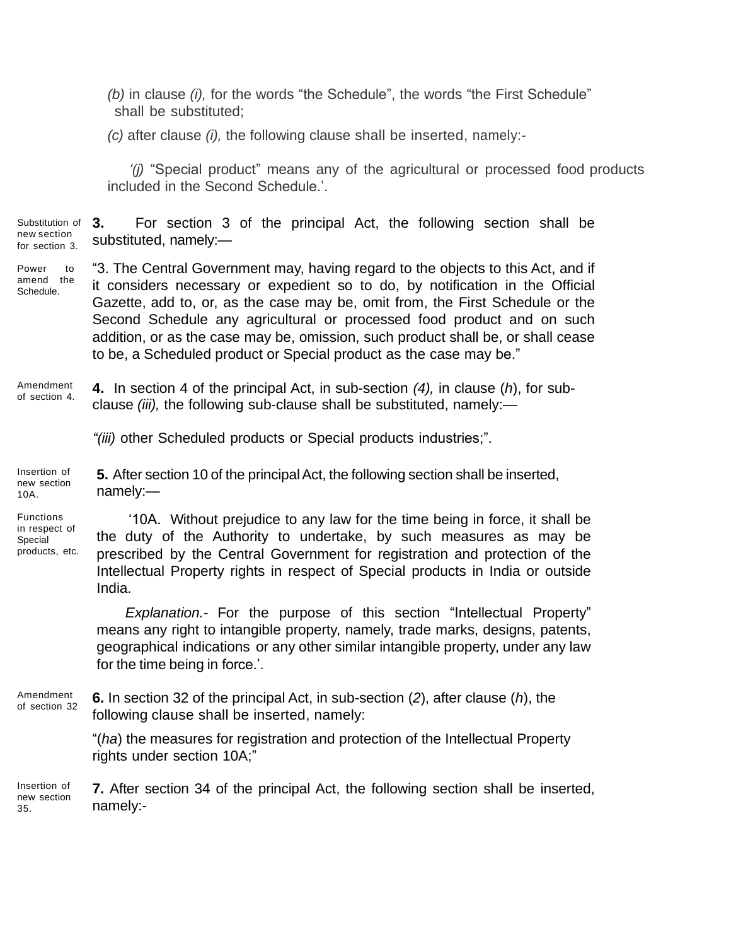*(b)* in clause *(i),* for the words "the Schedule", the words "the First Schedule" shall be substituted;

*(c)* after clause *(i),* the following clause shall be inserted, namely:-

*'(j)* "Special product" means any of the agricultural or processed food products included in the Second Schedule.".

Substitution of 3. **3.** For section 3 of the principal Act, the following section shall be substituted, namely:—

Power to amend the Schedule. "3. The Central Government may, having regard to the objects to this Act, and if it considers necessary or expedient so to do, by notification in the Official Gazette, add to, or, as the case may be, omit from, the First Schedule or the Second Schedule any agricultural or processed food product and on such addition, or as the case may be, omission, such product shall be, or shall cease to be, a Scheduled product or Special product as the case may be."

Amendment of section 4. **4.** In section 4 of the principal Act, in sub-section *(4),* in clause (*h*), for subclause *(iii),* the following sub-clause shall be substituted, namely:—

*"(iii)* other Scheduled products or Special products industries;".

Insertion of new section 10A. **5.** After section 10 of the principal Act, the following section shall be inserted, namely:—

**Functions** in respect of Special products, etc.

"10A. Without prejudice to any law for the time being in force, it shall be the duty of the Authority to undertake, by such measures as may be prescribed by the Central Government for registration and protection of the Intellectual Property rights in respect of Special products in India or outside India.

*Explanation.-* For the purpose of this section "Intellectual Property" means any right to intangible property, namely, trade marks, designs, patents, geographical indications or any other similar intangible property, under any law for the time being in force.'.

Amendment of section 32 **6.** In section 32 of the principal Act, in sub-section (*2*), after clause (*h*), the following clause shall be inserted, namely:

> "(*ha*) the measures for registration and protection of the Intellectual Property rights under section 10A;"

Insertion of new section 35. **7.** After section 34 of the principal Act, the following section shall be inserted, namely:-

new section for section 3.